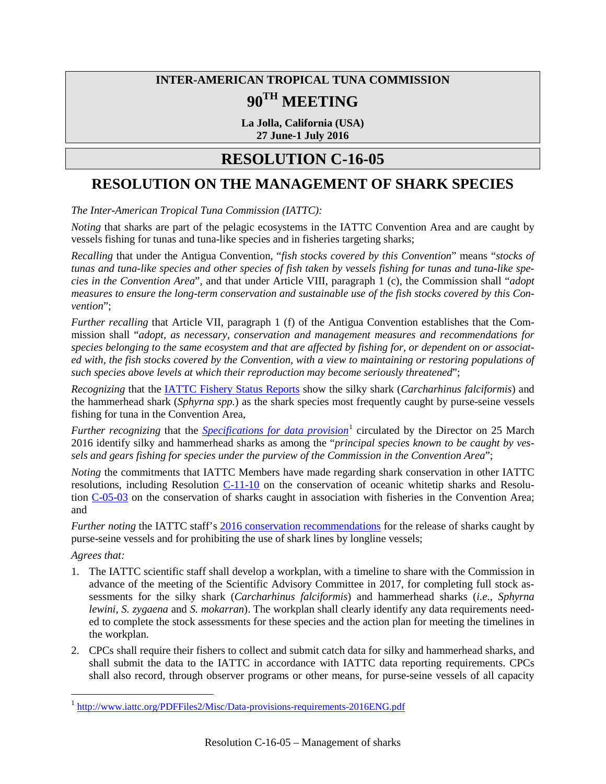## **INTER-AMERICAN TROPICAL TUNA COMMISSION 90TH MEETING**

**La Jolla, California (USA) 27 June-1 July 2016**

## **RESOLUTION C-16-05**

## **RESOLUTION ON THE MANAGEMENT OF SHARK SPECIES**

*The Inter-American Tropical Tuna Commission (IATTC):*

*Noting* that sharks are part of the pelagic ecosystems in the IATTC Convention Area and are caught by vessels fishing for tunas and tuna-like species and in fisheries targeting sharks;

*Recalling* that under the Antigua Convention, "*fish stocks covered by this Convention*" means "*stocks of tunas and tuna-like species and other species of fish taken by vessels fishing for tunas and tuna-like species in the Convention Area*", and that under Article VIII, paragraph 1 (c), the Commission shall "*adopt measures to ensure the long-term conservation and sustainable use of the fish stocks covered by this Convention*";

*Further recalling* that Article VII, paragraph 1 (f) of the Antigua Convention establishes that the Commission shall "*adopt, as necessary, conservation and management measures and recommendations for species belonging to the same ecosystem and that are affected by fishing for, or dependent on or associated with, the fish stocks covered by the Convention, with a view to maintaining or restoring populations of such species above levels at which their reproduction may become seriously threatened*";

*Recognizing* that the [IATTC Fishery Status Reports](http://www.iattc.org/FisheryStatusReportsENG.htm) show the silky shark (*Carcharhinus falciformis*) and the hammerhead shark (*Sphyrna spp.*) as the shark species most frequently caught by purse-seine vessels fishing for tuna in the Convention Area,

*Further recognizing* that the *[Specifications for data provision](http://www.iattc.org/PDFFiles2/Misc/Data-provisions-requirements-2016ENG.pdf)*<sup>[1](#page-0-0)</sup> circulated by the Director on 25 March 2016 identify silky and hammerhead sharks as among the "*principal species known to be caught by vessels and gears fishing for species under the purview of the Commission in the Convention Area*";

*Noting* the commitments that IATTC Members have made regarding shark conservation in other IATTC resolutions, including Resolution [C-11-10](http://www.iattc.org/PDFFiles2/Resolutions/C-11-10-Conservation-of-oceanic-whitetip-sharks.pdf) on the conservation of oceanic whitetip sharks and Resolution [C-05-03](http://www.iattc.org/PDFFiles2/Resolutions/C-05-03-Sharks.pdf) on the conservation of sharks caught in association with fisheries in the Convention Area; and

*Further noting* the IATTC staff's [2016 conservation recommendations](http://www.iattc.org/Meetings/Meetings2016/June/pdf-files/IATTC-90-04d-Conservation-recommendations-2016REV.pdf) for the release of sharks caught by purse-seine vessels and for prohibiting the use of shark lines by longline vessels;

*Agrees that:* 

- 1. The IATTC scientific staff shall develop a workplan, with a timeline to share with the Commission in advance of the meeting of the Scientific Advisory Committee in 2017, for completing full stock assessments for the silky shark (*Carcharhinus falciformis*) and hammerhead sharks (*i.e*., *Sphyrna lewini*, *S. zygaena* and *S. mokarran*). The workplan shall clearly identify any data requirements needed to complete the stock assessments for these species and the action plan for meeting the timelines in the workplan.
- 2. CPCs shall require their fishers to collect and submit catch data for silky and hammerhead sharks, and shall submit the data to the IATTC in accordance with IATTC data reporting requirements. CPCs shall also record, through observer programs or other means, for purse-seine vessels of all capacity

<span id="page-0-0"></span><sup>&</sup>lt;sup>1</sup> <http://www.iattc.org/PDFFiles2/Misc/Data-provisions-requirements-2016ENG.pdf>